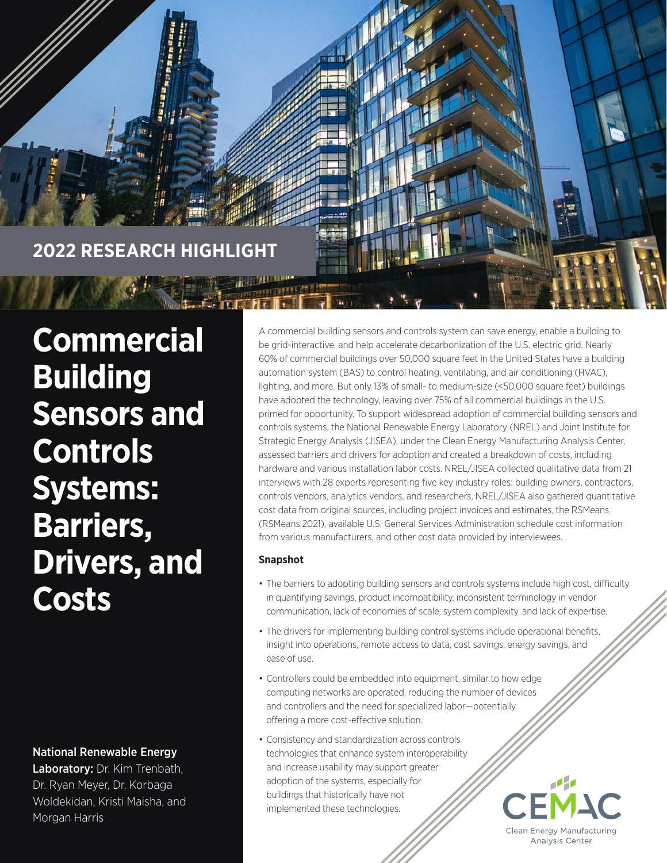

**Commercial Building Sensors and Controls Systems: Barriers, Drivers, and Costs** 

National Renewable Energy

Laboratory: Dr. Kim Trenbath, Dr. Ryan Meyer, Dr. Korbaga Woldekidan, Kristi Maisha, and Morgan Harris

A commercial building sensors and controls system can save energy, enable a building to be grid-interactive, and help accelerate decarbonization of the U.S. electric grid. Nearly 60% of commercial buildings over 50,000 square feet in the United States have a building automation system (BAS) to control heating, ventilating, and air conditioning (HVAC), lighting, and more. But only 13% of small- to medium-size (<50,000 square feet) buildings have adopted the technology, leaving over 75% of all commercial buildings in the U.S. primed for opportunity. To support widespread adoption of commercial building sensors and controls systems, the National Renewable Energy Laboratory (NREL) and Joint Institute for Strategic Energy Analysis (JISEA), under the Clean Energy Manufacturing Analysis Center, assessed barriers and drivers for adoption and created a breakdown of costs, including hardware and various installation labor costs. NREL/JISEA collected qualitative data from 21 interviews with 28 experts representing five key industry roles: building owners, contractors, controls vendors, analytics vendors, and researchers. NREL/JISEA also gathered quantitative cost data from original sources, including project invoices and estimates, the RSMeans (RSMeans 2021), available U.S. General Services Administration schedule cost information from various manufacturers, and other cost data provided by interviewees.

### **Snapshot**

- The barriers to adopting building sensors and controls systems include high cost, difficulty in quantifying savings, product incompatibility, inconsistent terminology in vendor communication, lack of economies of scale, system complexity, and lack of expertise.
- The drivers for implementing building control systems include operational benefits, insight into operations, remote access to data, cost savings, energy savings, and ease of use.
- Controllers could be embedded into equipment, similar to how edge computing networks are operated, reducing the number of devices and controllers and the need for specialized labor—potentially offering a more cost-effective solution.
- Consistency and standardization across controls technologies that enhance system interoperability and increase usability may support greater adoption of the systems, especially for buildings that historically have not implemented these technologies.

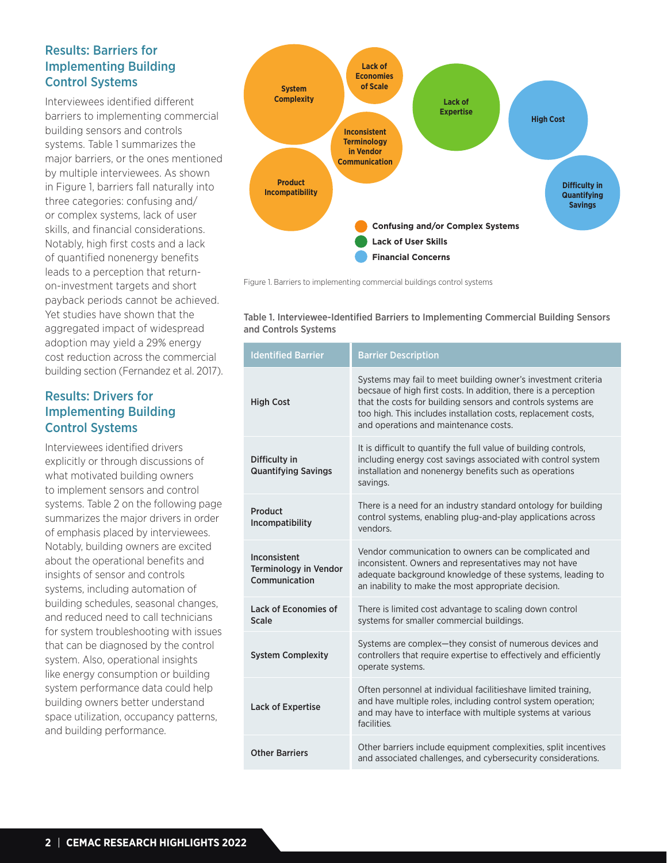# Results: Barriers for Implementing Building Control Systems

Interviewees identified different barriers to implementing commercial building sensors and controls systems. Table 1 summarizes the major barriers, or the ones mentioned by multiple interviewees. As shown in Figure 1, barriers fall naturally into three categories: confusing and/ or complex systems, lack of user skills, and financial considerations. Notably, high first costs and a lack of quantified nonenergy benefits leads to a perception that returnon-investment targets and short payback periods cannot be achieved. Yet studies have shown that the aggregated impact of widespread adoption may yield a 29% energy cost reduction across the commercial building section (Fernandez et al. 2017).

# Results: Drivers for Implementing Building Control Systems

Interviewees identified drivers explicitly or through discussions of what motivated building owners to implement sensors and control systems. Table 2 on the following page summarizes the major drivers in order of emphasis placed by interviewees. Notably, building owners are excited about the operational benefits and insights of sensor and controls systems, including automation of building schedules, seasonal changes, and reduced need to call technicians for system troubleshooting with issues that can be diagnosed by the control system. Also, operational insights like energy consumption or building system performance data could help building owners better understand space utilization, occupancy patterns, and building performance.



Figure 1. Barriers to implementing commercial buildings control systems

Table 1. Interviewee-Identified Barriers to Implementing Commercial Building Sensors and Controls Systems

| <b>Identified Barrier</b>                                     | <b>Barrier Description</b>                                                                                                                                                                                                                                                                                  |
|---------------------------------------------------------------|-------------------------------------------------------------------------------------------------------------------------------------------------------------------------------------------------------------------------------------------------------------------------------------------------------------|
| <b>High Cost</b>                                              | Systems may fail to meet building owner's investment criteria<br>becsaue of high first costs. In addition, there is a perception<br>that the costs for building sensors and controls systems are<br>too high. This includes installation costs, replacement costs,<br>and operations and maintenance costs. |
| Difficulty in<br><b>Quantifying Savings</b>                   | It is difficult to quantify the full value of building controls,<br>including energy cost savings associated with control system<br>installation and nonenergy benefits such as operations<br>savings.                                                                                                      |
| Product<br>Incompatibility                                    | There is a need for an industry standard ontology for building<br>control systems, enabling plug-and-play applications across<br>vendors.                                                                                                                                                                   |
| Inconsistent<br><b>Terminology in Vendor</b><br>Communication | Vendor communication to owners can be complicated and<br>inconsistent. Owners and representatives may not have<br>adequate background knowledge of these systems, leading to<br>an inability to make the most appropriate decision.                                                                         |
| Lack of Economies of<br>Scale                                 | There is limited cost advantage to scaling down control<br>systems for smaller commercial buildings.                                                                                                                                                                                                        |
| <b>System Complexity</b>                                      | Systems are complex-they consist of numerous devices and<br>controllers that require expertise to effectively and efficiently<br>operate systems.                                                                                                                                                           |
| <b>Lack of Expertise</b>                                      | Often personnel at individual facilitieshave limited training,<br>and have multiple roles, including control system operation;<br>and may have to interface with multiple systems at various<br>facilities.                                                                                                 |
| <b>Other Barriers</b>                                         | Other barriers include equipment complexities, split incentives<br>and associated challenges, and cybersecurity considerations.                                                                                                                                                                             |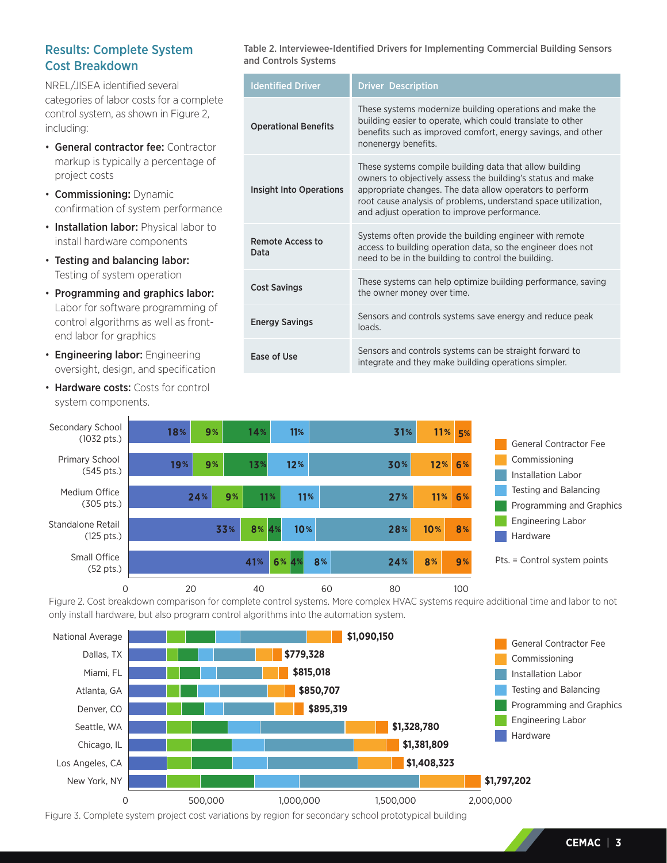# Results: Complete System Cost Breakdown

NREL/JISEA identified several categories of labor costs for a complete control system, as shown in Figure 2, including:

- General contractor fee: Contractor markup is typically a percentage of project costs
- Commissioning: Dynamic confirmation of system performance
- Installation labor: Physical labor to install hardware components
- Testing and balancing labor: Testing of system operation
- Programming and graphics labor: Labor for software programming of control algorithms as well as frontend labor for graphics
- Engineering labor: Engineering oversight, design, and specification
- Hardware costs: Costs for control system components.

Table 2. Interviewee-Identified Drivers for Implementing Commercial Building Sensors and Controls Systems

| <b>Identified Driver</b>    | <b>Driver Description</b>                                                                                                                                                                                                                                                                            |
|-----------------------------|------------------------------------------------------------------------------------------------------------------------------------------------------------------------------------------------------------------------------------------------------------------------------------------------------|
| <b>Operational Benefits</b> | These systems modernize building operations and make the<br>building easier to operate, which could translate to other<br>benefits such as improved comfort, energy savings, and other<br>nonenergy benefits.                                                                                        |
| Insight Into Operations     | These systems compile building data that allow building<br>owners to objectively assess the building's status and make<br>appropriate changes. The data allow operators to perform<br>root cause analysis of problems, understand space utilization,<br>and adjust operation to improve performance. |
| Remote Access to<br>Data    | Systems often provide the building engineer with remote<br>access to building operation data, so the engineer does not<br>need to be in the building to control the building.                                                                                                                        |
| <b>Cost Savings</b>         | These systems can help optimize building performance, saving<br>the owner money over time.                                                                                                                                                                                                           |
| <b>Energy Savings</b>       | Sensors and controls systems save energy and reduce peak<br>loads.                                                                                                                                                                                                                                   |
| Ease of Use                 | Sensors and controls systems can be straight forward to<br>integrate and they make building operations simpler.                                                                                                                                                                                      |



Figure 2. Cost breakdown comparison for complete control systems. More complex HVAC systems require additional time and labor to not only install hardware, but also program control algorithms into the automation system.



Figure 3. Complete system project cost variations by region for secondary school prototypical building